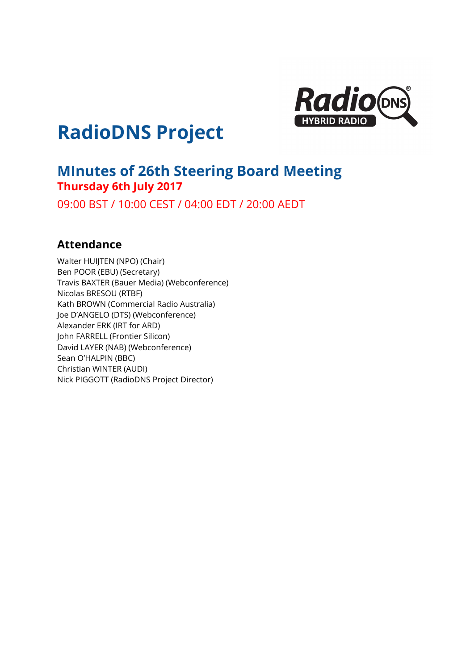

# **RadioDNS Project**

# **MInutes of 26th Steering Board Meeting Thursday 6th July 2017**

09:00 BST / 10:00 CEST / 04:00 EDT / 20:00 AEDT

# **Attendance**

Walter HUIJTEN (NPO) (Chair) Ben POOR (EBU) (Secretary) Travis BAXTER (Bauer Media) (Webconference) Nicolas BRESOU (RTBF) Kath BROWN (Commercial Radio Australia) Joe D'ANGELO (DTS) (Webconference) Alexander ERK (IRT for ARD) John FARRELL (Frontier Silicon) David LAYER (NAB) (Webconference) Sean O'HALPIN (BBC) Christian WINTER (AUDI) Nick PIGGOTT (RadioDNS Project Director)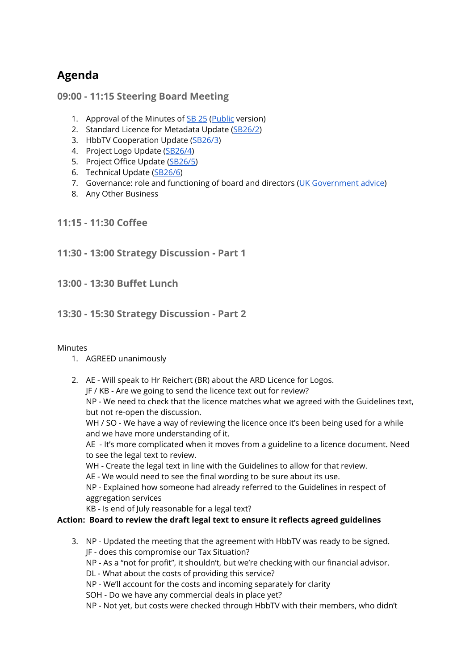# **Agenda**

## **09:00 - 11:15 Steering Board Meeting**

- 1. Approval of the Minutes of **[SB](https://docs.google.com/document/d/1Mk0RfYmK32ADHC0IWx13xYdPvOy9NuTb2QDgH38inXs/edit#heading=h.p3t73lsmm1ft) 25** [\(Public](http://radiodns.org/wp-content/uploads/2017/02/SB258Minutesofthe25thSteeringBoardMeeting.pdf) version)
- 2. Standard Licence for Metadata Update [\(SB26/2\)](https://docs.google.com/document/d/13q1JNcGy6xDeeTBl1ewDah8GxTJmXpnbUrVhSsJW8rU/edit)
- 3. HbbTV Cooperation Update [\(SB26/3](https://docs.google.com/document/d/1sixmB82Q-_rPlYuJy7WataFQZ_fU6Xlli9uAOVlqiPc/edit))
- 4. Project Logo Update [\(SB26/4\)](https://docs.google.com/document/d/1aOBUYnlmiGaRxpi9jhOXfbtQPvCM799s4H6LVWz0kUc/edit)
- 5. Project Office Update [\(SB26/5\)](https://docs.google.com/document/d/1aBTOadZFc-iiauByOiK1m677eETeKKfMvsmTxh64N_M/edit)
- 6. Technical Update [\(SB26/6\)](https://drive.google.com/open?id=1wfOahuTdBJ5aTYLp-UtUSMrjMMyhmgah8qzkRVmRhNo)
- 7. Governance: role and functioning of board and directors (UK [Government](https://www.gov.uk/running-a-limited-company) advice)
- 8. Any Other Business

### **11:15 - 11:30 Coffee**

## **11:30 - 13:00 Strategy Discussion - Part 1**

**13:00 - 13:30 Buffet Lunch**

## **13:30 - 15:30 Strategy Discussion - Part 2**

#### Minutes

- 1. AGREED unanimously
- 2. AE Will speak to Hr Reichert (BR) about the ARD Licence for Logos.
	- JF / KB Are we going to send the licence text out for review?

NP - We need to check that the licence matches what we agreed with the Guidelines text, but not re-open the discussion.

WH / SO - We have a way of reviewing the licence once it's been being used for a while and we have more understanding of it.

AE - It's more complicated when it moves from a guideline to a licence document. Need to see the legal text to review.

- WH Create the legal text in line with the Guidelines to allow for that review.
- AE We would need to see the final wording to be sure about its use.

NP - Explained how someone had already referred to the Guidelines in respect of aggregation services

KB - Is end of July reasonable for a legal text?

#### **Action: Board to review the draft legal text to ensure it reflects agreed guidelines**

- 3. NP Updated the meeting that the agreement with HbbTV was ready to be signed. JF - does this compromise our Tax Situation?
	- NP As a "not for profit", it shouldn't, but we're checking with our financial advisor.

DL - What about the costs of providing this service?

- NP We'll account for the costs and incoming separately for clarity
- SOH Do we have any commercial deals in place yet?

NP - Not yet, but costs were checked through HbbTV with their members, who didn't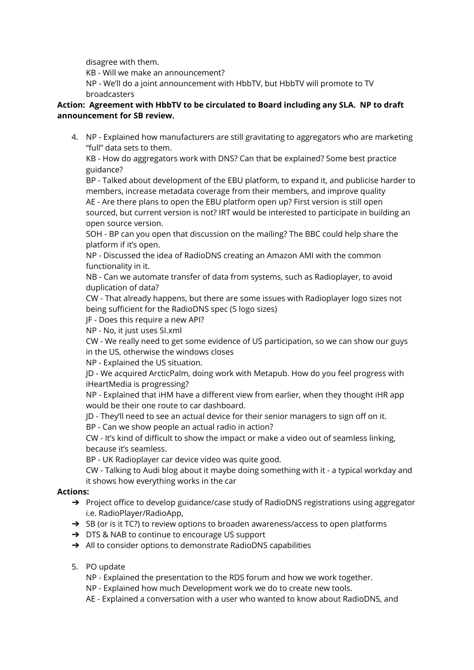disagree with them.

KB - Will we make an announcement?

NP - We'll do a joint announcement with HbbTV, but HbbTV will promote to TV broadcasters

#### **Action: Agreement with HbbTV to be circulated to Board including any SLA. NP to draft announcement for SB review.**

4. NP - Explained how manufacturers are still gravitating to aggregators who are marketing "full" data sets to them.

KB - How do aggregators work with DNS? Can that be explained? Some best practice guidance?

BP - Talked about development of the EBU platform, to expand it, and publicise harder to members, increase metadata coverage from their members, and improve quality AE - Are there plans to open the EBU platform open up? First version is still open sourced, but current version is not? IRT would be interested to participate in building an open source version.

SOH - BP can you open that discussion on the mailing? The BBC could help share the platform if it's open.

NP - Discussed the idea of RadioDNS creating an Amazon AMI with the common functionality in it.

NB - Can we automate transfer of data from systems, such as Radioplayer, to avoid duplication of data?

CW - That already happens, but there are some issues with Radioplayer logo sizes not being sufficient for the RadioDNS spec (5 logo sizes)

JF - Does this require a new API?

NP - No, it just uses SI.xml

CW - We really need to get some evidence of US participation, so we can show our guys in the US, otherwise the windows closes

NP - Explained the US situation.

JD - We acquired ArcticPalm, doing work with Metapub. How do you feel progress with iHeartMedia is progressing?

NP - Explained that iHM have a different view from earlier, when they thought iHR app would be their one route to car dashboard.

JD - They'll need to see an actual device for their senior managers to sign off on it.

BP - Can we show people an actual radio in action?

CW - It's kind of difficult to show the impact or make a video out of seamless linking, because it's seamless.

BP - UK Radioplayer car device video was quite good.

CW - Talking to Audi blog about it maybe doing something with it - a typical workday and it shows how everything works in the car

### **Actions:**

- → Project office to develop guidance/case study of RadioDNS registrations using aggregator i.e. RadioPlayer/RadioApp,
- ➔ SB (or is it TC?) to review options to broaden awareness/access to open platforms
- ➔ DTS & NAB to continue to encourage US support
- → All to consider options to demonstrate RadioDNS capabilities
- 5. PO update
	- NP Explained the presentation to the RDS forum and how we work together.
	- NP Explained how much Development work we do to create new tools.
	- AE Explained a conversation with a user who wanted to know about RadioDNS, and